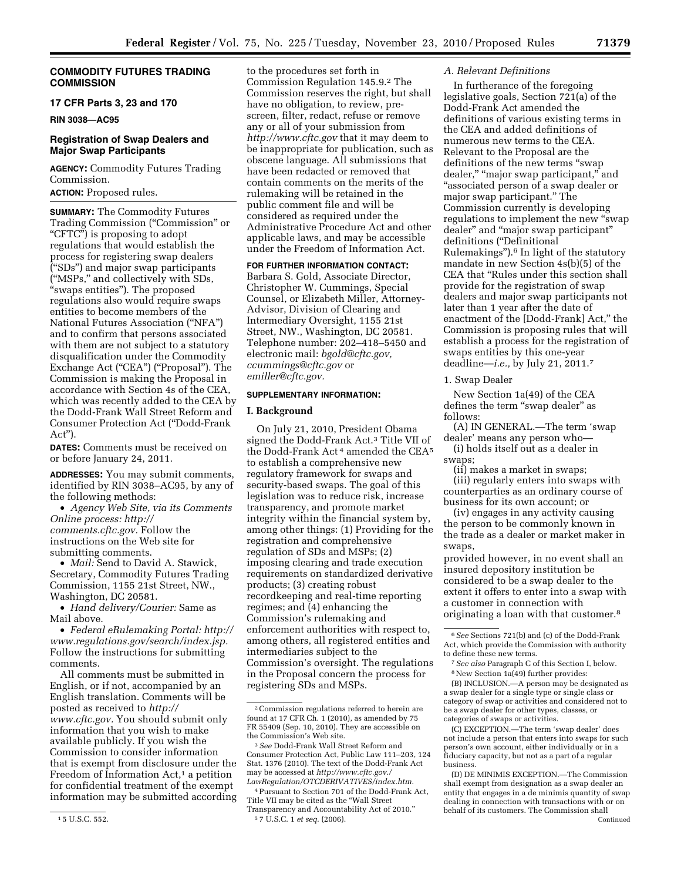# **COMMODITY FUTURES TRADING COMMISSION**

# **17 CFR Parts 3, 23 and 170**

**RIN 3038—AC95** 

# **Registration of Swap Dealers and Major Swap Participants**

**AGENCY:** Commodity Futures Trading Commission.

# **ACTION:** Proposed rules.

**SUMMARY:** The Commodity Futures Trading Commission (''Commission'' or ''CFTC'') is proposing to adopt regulations that would establish the process for registering swap dealers (''SDs'') and major swap participants (''MSPs,'' and collectively with SDs, ''swaps entities''). The proposed regulations also would require swaps entities to become members of the National Futures Association (''NFA'') and to confirm that persons associated with them are not subject to a statutory disqualification under the Commodity Exchange Act ("CEA") ("Proposal"). The Commission is making the Proposal in accordance with Section 4s of the CEA, which was recently added to the CEA by the Dodd-Frank Wall Street Reform and Consumer Protection Act (''Dodd-Frank Act'').

**DATES:** Comments must be received on or before January 24, 2011.

**ADDRESSES:** You may submit comments, identified by RIN 3038–AC95, by any of the following methods:

• *Agency Web Site, via its Comments Online process: [http://](http://comments.cftc.gov) [comments.cftc.gov.](http://comments.cftc.gov)* Follow the instructions on the Web site for submitting comments.

• *Mail:* Send to David A. Stawick, Secretary, Commodity Futures Trading Commission, 1155 21st Street, NW., Washington, DC 20581.

• *Hand delivery/Courier:* Same as Mail above.

• *Federal eRulemaking Portal: [http://](http://www.regulations.gov/search/index.jsp)  [www.regulations.gov/search/index.jsp.](http://www.regulations.gov/search/index.jsp)*  Follow the instructions for submitting comments.

All comments must be submitted in English, or if not, accompanied by an English translation. Comments will be posted as received to *[http://](http://www.cftc.gov) [www.cftc.gov.](http://www.cftc.gov)* You should submit only information that you wish to make available publicly. If you wish the Commission to consider information that is exempt from disclosure under the Freedom of Information Act,<sup>1</sup> a petition for confidential treatment of the exempt information may be submitted according

to the procedures set forth in Commission Regulation 145.9.2 The Commission reserves the right, but shall have no obligation, to review, prescreen, filter, redact, refuse or remove any or all of your submission from *<http://www.cftc.gov>* that it may deem to be inappropriate for publication, such as obscene language. All submissions that have been redacted or removed that contain comments on the merits of the rulemaking will be retained in the public comment file and will be considered as required under the Administrative Procedure Act and other applicable laws, and may be accessible under the Freedom of Information Act.

# **FOR FURTHER INFORMATION CONTACT:**

Barbara S. Gold, Associate Director, Christopher W. Cummings, Special Counsel, or Elizabeth Miller, Attorney-Advisor, Division of Clearing and Intermediary Oversight, 1155 21st Street, NW., Washington, DC 20581. Telephone number: 202–418–5450 and electronic mail: *[bgold@cftc.gov,](mailto:bgold@cftc.gov)  ccummings@cftc.gov* or *[emiller@cftc.gov.](mailto:emiller@cftc.gov)* 

# **SUPPLEMENTARY INFORMATION:**

# **I. Background**

On July 21, 2010, President Obama signed the Dodd-Frank Act.3 Title VII of the Dodd-Frank Act<sup>4</sup> amended the CEA<sup>5</sup> to establish a comprehensive new regulatory framework for swaps and security-based swaps. The goal of this legislation was to reduce risk, increase transparency, and promote market integrity within the financial system by, among other things: (1) Providing for the registration and comprehensive regulation of SDs and MSPs; (2) imposing clearing and trade execution requirements on standardized derivative products; (3) creating robust recordkeeping and real-time reporting regimes; and (4) enhancing the Commission's rulemaking and enforcement authorities with respect to, among others, all registered entities and intermediaries subject to the Commission's oversight. The regulations in the Proposal concern the process for registering SDs and MSPs.

### *A. Relevant Definitions*

In furtherance of the foregoing legislative goals, Section 721(a) of the Dodd-Frank Act amended the definitions of various existing terms in the CEA and added definitions of numerous new terms to the CEA. Relevant to the Proposal are the definitions of the new terms "swap dealer," "major swap participant," and ''associated person of a swap dealer or major swap participant.'' The Commission currently is developing regulations to implement the new "swap" dealer'' and ''major swap participant'' definitions (''Definitional Rulemakings'').6 In light of the statutory mandate in new Section 4s(b)(5) of the CEA that ''Rules under this section shall provide for the registration of swap dealers and major swap participants not later than 1 year after the date of enactment of the [Dodd-Frank] Act,'' the Commission is proposing rules that will establish a process for the registration of swaps entities by this one-year deadline—*i.e.,* by July 21, 2011.7

1. Swap Dealer

New Section 1a(49) of the CEA defines the term "swap dealer" as follows:

(A) IN GENERAL.—The term 'swap dealer' means any person who—

(i) holds itself out as a dealer in swaps;

(ii) makes a market in swaps;

(iii) regularly enters into swaps with counterparties as an ordinary course of business for its own account; or

(iv) engages in any activity causing the person to be commonly known in the trade as a dealer or market maker in swaps,

provided however, in no event shall an insured depository institution be considered to be a swap dealer to the extent it offers to enter into a swap with a customer in connection with originating a loan with that customer.8

(B) INCLUSION.—A person may be designated as a swap dealer for a single type or single class or category of swap or activities and considered not to be a swap dealer for other types, classes, or categories of swaps or activities.

(C) EXCEPTION.—The term 'swap dealer' does not include a person that enters into swaps for such person's own account, either individually or in a fiduciary capacity, but not as a part of a regular business.

(D) DE MINIMIS EXCEPTION.—The Commission shall exempt from designation as a swap dealer an entity that engages in a de minimis quantity of swap dealing in connection with transactions with or on behalf of its customers. The Commission shall Continued

<sup>1</sup> 5 U.S.C. 552.

<sup>2</sup>Commission regulations referred to herein are found at 17 CFR Ch. 1 (2010), as amended by 75 FR 55409 (Sep. 10, 2010). They are accessible on the Commission's Web site.

<sup>3</sup>*See* Dodd-Frank Wall Street Reform and Consumer Protection Act, Public Law 111–203, 124 Stat. 1376 (2010). The text of the Dodd-Frank Act may be accessed at *[http://www.cftc.gov./](http://www.cftc.gov./LawRegulation/OTCDERIVATIVES/index.htm) [LawRegulation/OTCDERIVATIVES/index.htm.](http://www.cftc.gov./LawRegulation/OTCDERIVATIVES/index.htm)* 

<sup>4</sup>Pursuant to Section 701 of the Dodd-Frank Act, Title VII may be cited as the ''Wall Street Transparency and Accountability Act of 2010.'' 5 7 U.S.C. 1 *et seq.* (2006).

<sup>6</sup>*See* Sections 721(b) and (c) of the Dodd-Frank Act, which provide the Commission with authority to define these new terms.

<sup>7</sup>*See also* Paragraph C of this Section I, below. 8New Section 1a(49) further provides: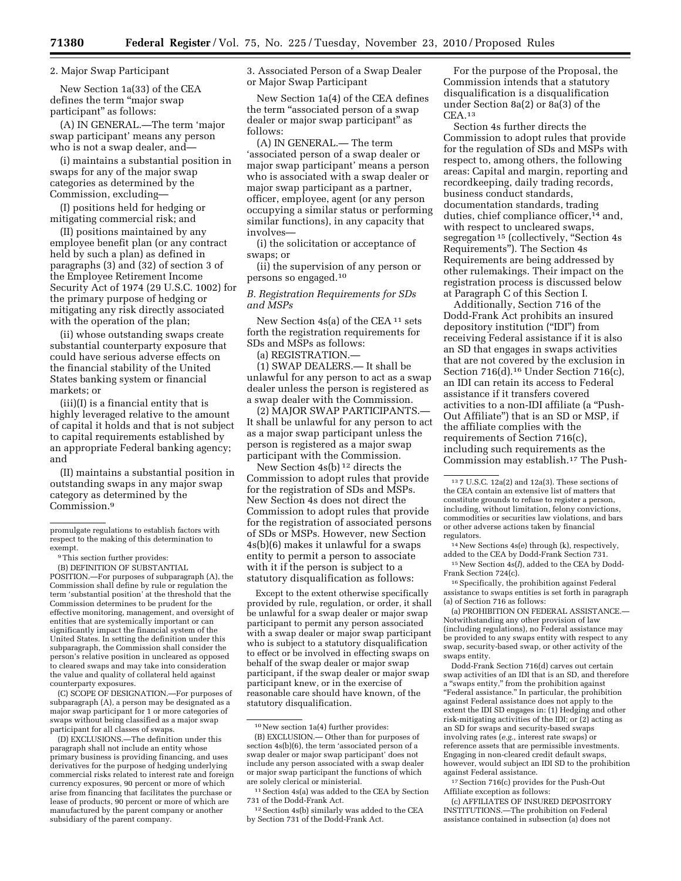2. Major Swap Participant

New Section 1a(33) of the CEA defines the term "major swap participant'' as follows:

(A) IN GENERAL.—The term 'major swap participant' means any person who is not a swap dealer, and—

(i) maintains a substantial position in swaps for any of the major swap categories as determined by the Commission, excluding—

(I) positions held for hedging or mitigating commercial risk; and

(II) positions maintained by any employee benefit plan (or any contract held by such a plan) as defined in paragraphs (3) and (32) of section 3 of the Employee Retirement Income Security Act of 1974 (29 U.S.C. 1002) for the primary purpose of hedging or mitigating any risk directly associated with the operation of the plan;

(ii) whose outstanding swaps create substantial counterparty exposure that could have serious adverse effects on the financial stability of the United States banking system or financial markets; or

(iii)(I) is a financial entity that is highly leveraged relative to the amount of capital it holds and that is not subject to capital requirements established by an appropriate Federal banking agency; and

(II) maintains a substantial position in outstanding swaps in any major swap category as determined by the Commission.9

9This section further provides:

(B) DEFINITION OF SUBSTANTIAL POSITION.—For purposes of subparagraph (A), the Commission shall define by rule or regulation the term 'substantial position' at the threshold that the Commission determines to be prudent for the effective monitoring, management, and oversight of entities that are systemically important or can significantly impact the financial system of the United States. In setting the definition under this subparagraph, the Commission shall consider the person's relative position in uncleared as opposed to cleared swaps and may take into consideration the value and quality of collateral held against counterparty exposures.

(C) SCOPE OF DESIGNATION.—For purposes of subparagraph (A), a person may be designated as a major swap participant for 1 or more categories of swaps without being classified as a major swap participant for all classes of swaps.

(D) EXCLUSIONS.—The definition under this paragraph shall not include an entity whose primary business is providing financing, and uses derivatives for the purpose of hedging underlying commercial risks related to interest rate and foreign currency exposures, 90 percent or more of which arise from financing that facilitates the purchase or lease of products, 90 percent or more of which are manufactured by the parent company or another subsidiary of the parent company.

3. Associated Person of a Swap Dealer or Major Swap Participant

New Section 1a(4) of the CEA defines the term "associated person of a swap dealer or major swap participant'' as follows:

(A) IN GENERAL.— The term 'associated person of a swap dealer or major swap participant' means a person who is associated with a swap dealer or major swap participant as a partner, officer, employee, agent (or any person occupying a similar status or performing similar functions), in any capacity that involves—

(i) the solicitation or acceptance of swaps; or

(ii) the supervision of any person or persons so engaged.10

### *B. Registration Requirements for SDs and MSPs*

New Section 4s(a) of the CEA 11 sets forth the registration requirements for SDs and MSPs as follows:

(a) REGISTRATION.—

(1) SWAP DEALERS.— It shall be unlawful for any person to act as a swap dealer unless the person is registered as a swap dealer with the Commission.

(2) MAJOR SWAP PARTICIPANTS.— It shall be unlawful for any person to act as a major swap participant unless the person is registered as a major swap participant with the Commission.

New Section 4s(b) 12 directs the Commission to adopt rules that provide for the registration of SDs and MSPs. New Section 4s does not direct the Commission to adopt rules that provide for the registration of associated persons of SDs or MSPs. However, new Section 4s(b)(6) makes it unlawful for a swaps entity to permit a person to associate with it if the person is subject to a statutory disqualification as follows:

Except to the extent otherwise specifically provided by rule, regulation, or order, it shall be unlawful for a swap dealer or major swap participant to permit any person associated with a swap dealer or major swap participant who is subject to a statutory disqualification to effect or be involved in effecting swaps on behalf of the swap dealer or major swap participant, if the swap dealer or major swap participant knew, or in the exercise of reasonable care should have known, of the statutory disqualification.

For the purpose of the Proposal, the Commission intends that a statutory disqualification is a disqualification under Section 8a(2) or 8a(3) of the CEA.13

Section 4s further directs the Commission to adopt rules that provide for the regulation of SDs and MSPs with respect to, among others, the following areas: Capital and margin, reporting and recordkeeping, daily trading records, business conduct standards, documentation standards, trading duties, chief compliance officer,<sup>14</sup> and, with respect to uncleared swaps, segregation<sup>15</sup> (collectively, "Section 4s Requirements''). The Section 4s Requirements are being addressed by other rulemakings. Their impact on the registration process is discussed below at Paragraph C of this Section I.

Additionally, Section 716 of the Dodd-Frank Act prohibits an insured depository institution (''IDI'') from receiving Federal assistance if it is also an SD that engages in swaps activities that are not covered by the exclusion in Section 716(d).<sup>16</sup> Under Section 716(c), an IDI can retain its access to Federal assistance if it transfers covered activities to a non-IDI affiliate (a ''Push-Out Affiliate'') that is an SD or MSP, if the affiliate complies with the requirements of Section 716(c), including such requirements as the Commission may establish.17 The Push-

14New Sections 4s(e) through (k), respectively, added to the CEA by Dodd-Frank Section 731.

15New Section 4s(*l*), added to the CEA by Dodd-Frank Section 724(c).

16Specifically, the prohibition against Federal assistance to swaps entities is set forth in paragraph (a) of Section 716 as follows:

(a) PROHIBITION ON FEDERAL ASSISTANCE.— Notwithstanding any other provision of law (including regulations), no Federal assistance may be provided to any swaps entity with respect to any swap, security-based swap, or other activity of the swaps entity.

Dodd-Frank Section 716(d) carves out certain swap activities of an IDI that is an SD, and therefore a "swaps entity," from the prohibition against "Federal assistance." In particular, the prohibition against Federal assistance does not apply to the extent the IDI SD engages in: (1) Hedging and other risk-mitigating activities of the IDI; or (2) acting as an SD for swaps and security-based swaps involving rates (*e.g.,* interest rate swaps) or reference assets that are permissible investments. Engaging in non-cleared credit default swaps, however, would subject an IDI SD to the prohibition against Federal assistance.

17Section 716(c) provides for the Push-Out Affiliate exception as follows:

(c) AFFILIATES OF INSURED DEPOSITORY INSTITUTIONS.—The prohibition on Federal assistance contained in subsection (a) does not

promulgate regulations to establish factors with respect to the making of this determination to exempt.

<sup>10</sup>New section 1a(4) further provides:

<sup>(</sup>B) EXCLUSION.— Other than for purposes of section 4s(b)(6), the term 'associated person of a swap dealer or major swap participant' does not include any person associated with a swap dealer or major swap participant the functions of which are solely clerical or ministerial.

<sup>11</sup>Section 4s(a) was added to the CEA by Section 731 of the Dodd-Frank Act.

<sup>12</sup>Section 4s(b) similarly was added to the CEA by Section 731 of the Dodd-Frank Act.

<sup>13</sup> 7 U.S.C. 12a(2) and 12a(3). These sections of the CEA contain an extensive list of matters that constitute grounds to refuse to register a person, including, without limitation, felony convictions, commodities or securities law violations, and bars or other adverse actions taken by financial regulators.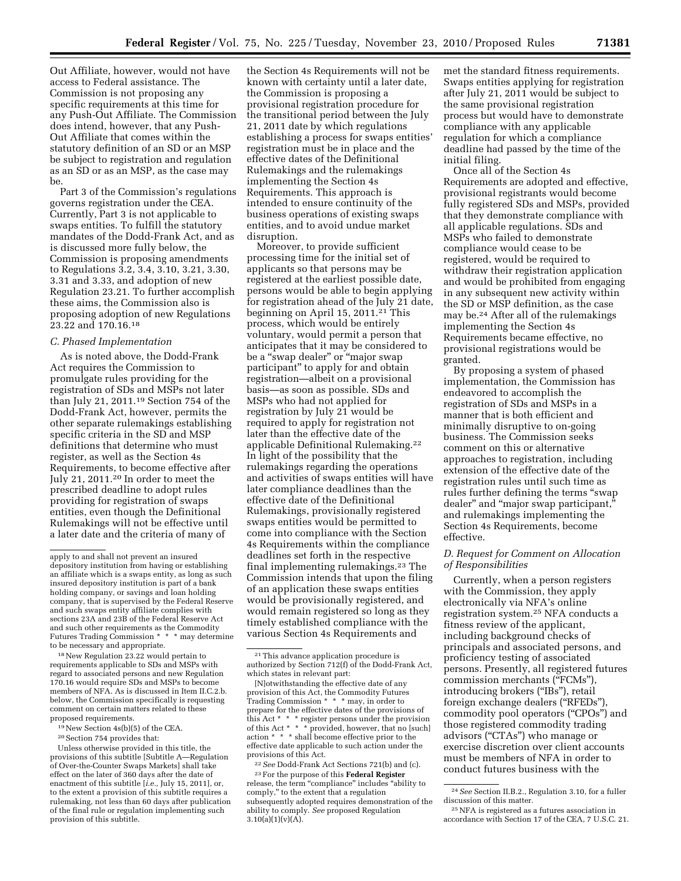Out Affiliate, however, would not have access to Federal assistance. The Commission is not proposing any specific requirements at this time for any Push-Out Affiliate. The Commission does intend, however, that any Push-Out Affiliate that comes within the statutory definition of an SD or an MSP be subject to registration and regulation as an SD or as an MSP, as the case may be.

Part 3 of the Commission's regulations governs registration under the CEA. Currently, Part 3 is not applicable to swaps entities. To fulfill the statutory mandates of the Dodd-Frank Act, and as is discussed more fully below, the Commission is proposing amendments to Regulations 3.2, 3.4, 3.10, 3.21, 3.30, 3.31 and 3.33, and adoption of new Regulation 23.21. To further accomplish these aims, the Commission also is proposing adoption of new Regulations 23.22 and 170.16.18

# *C. Phased Implementation*

As is noted above, the Dodd-Frank Act requires the Commission to promulgate rules providing for the registration of SDs and MSPs not later than July 21, 2011.19 Section 754 of the Dodd-Frank Act, however, permits the other separate rulemakings establishing specific criteria in the SD and MSP definitions that determine who must register, as well as the Section 4s Requirements, to become effective after July 21, 2011.20 In order to meet the prescribed deadline to adopt rules providing for registration of swaps entities, even though the Definitional Rulemakings will not be effective until a later date and the criteria of many of

18New Regulation 23.22 would pertain to requirements applicable to SDs and MSPs with regard to associated persons and new Regulation 170.16 would require SDs and MSPs to become members of NFA. As is discussed in Item II.C.2.b. below, the Commission specifically is requesting comment on certain matters related to these proposed requirements.

19New Section 4s(b)(5) of the CEA.

20Section 754 provides that:

Unless otherwise provided in this title, the provisions of this subtitle [Subtitle A—Regulation of Over-the-Counter Swaps Markets] shall take effect on the later of 360 days after the date of enactment of this subtitle [*i.e.,* July 15, 2011], or, to the extent a provision of this subtitle requires a rulemaking, not less than 60 days after publication of the final rule or regulation implementing such provision of this subtitle.

the Section 4s Requirements will not be known with certainty until a later date, the Commission is proposing a provisional registration procedure for the transitional period between the July 21, 2011 date by which regulations establishing a process for swaps entities' registration must be in place and the effective dates of the Definitional Rulemakings and the rulemakings implementing the Section 4s Requirements. This approach is intended to ensure continuity of the business operations of existing swaps entities, and to avoid undue market disruption.

Moreover, to provide sufficient processing time for the initial set of applicants so that persons may be registered at the earliest possible date, persons would be able to begin applying for registration ahead of the July 21 date, beginning on April 15, 2011.<sup>21</sup> This process, which would be entirely voluntary, would permit a person that anticipates that it may be considered to be a "swap dealer" or "major swap participant'' to apply for and obtain registration—albeit on a provisional basis—as soon as possible. SDs and MSPs who had not applied for registration by July 21 would be required to apply for registration not later than the effective date of the applicable Definitional Rulemaking.22 In light of the possibility that the rulemakings regarding the operations and activities of swaps entities will have later compliance deadlines than the effective date of the Definitional Rulemakings, provisionally registered swaps entities would be permitted to come into compliance with the Section 4s Requirements within the compliance deadlines set forth in the respective final implementing rulemakings.23 The Commission intends that upon the filing of an application these swaps entities would be provisionally registered, and would remain registered so long as they timely established compliance with the various Section 4s Requirements and

[N]otwithstanding the effective date of any provision of this Act, the Commodity Futures Trading Commission \* \* \* may, in order to prepare for the effective dates of the provisions of this Act \* \* \* register persons under the provision of this Act \* \* \* provided, however, that no [such] action \* \* \* shall become effective prior to the effective date applicable to such action under the provisions of this Act.

22*See* Dodd-Frank Act Sections 721(b) and (c). 23For the purpose of this **Federal Register**  release, the term "compliance" includes "ability to comply,'' to the extent that a regulation subsequently adopted requires demonstration of the ability to comply. *See* proposed Regulation  $3.10(a)(1)(v)(A)$ .

met the standard fitness requirements. Swaps entities applying for registration after July 21, 2011 would be subject to the same provisional registration process but would have to demonstrate compliance with any applicable regulation for which a compliance deadline had passed by the time of the initial filing.

Once all of the Section 4s Requirements are adopted and effective, provisional registrants would become fully registered SDs and MSPs, provided that they demonstrate compliance with all applicable regulations. SDs and MSPs who failed to demonstrate compliance would cease to be registered, would be required to withdraw their registration application and would be prohibited from engaging in any subsequent new activity within the SD or MSP definition, as the case may be.24 After all of the rulemakings implementing the Section 4s Requirements became effective, no provisional registrations would be granted.

By proposing a system of phased implementation, the Commission has endeavored to accomplish the registration of SDs and MSPs in a manner that is both efficient and minimally disruptive to on-going business. The Commission seeks comment on this or alternative approaches to registration, including extension of the effective date of the registration rules until such time as rules further defining the terms ''swap dealer" and "major swap participant, and rulemakings implementing the Section 4s Requirements, become effective.

# *D. Request for Comment on Allocation of Responsibilities*

Currently, when a person registers with the Commission, they apply electronically via NFA's online registration system.25 NFA conducts a fitness review of the applicant, including background checks of principals and associated persons, and proficiency testing of associated persons. Presently, all registered futures commission merchants ("FCMs"), introducing brokers (''IBs''), retail foreign exchange dealers (''RFEDs''), commodity pool operators ("CPOs") and those registered commodity trading advisors (''CTAs'') who manage or exercise discretion over client accounts must be members of NFA in order to conduct futures business with the

apply to and shall not prevent an insured depository institution from having or establishing an affiliate which is a swaps entity, as long as such insured depository institution is part of a bank holding company, or savings and loan holding company, that is supervised by the Federal Reserve and such swaps entity affiliate complies with sections 23A and 23B of the Federal Reserve Act and such other requirements as the Commodity Futures Trading Commission \* \* \* may determine to be necessary and appropriate.

<sup>21</sup>This advance application procedure is authorized by Section 712(f) of the Dodd-Frank Act, which states in relevant part:

<sup>24</sup>*See* Section II.B.2., Regulation 3.10, for a fuller discussion of this matter.

<sup>25</sup>NFA is registered as a futures association in accordance with Section 17 of the CEA, 7 U.S.C. 21.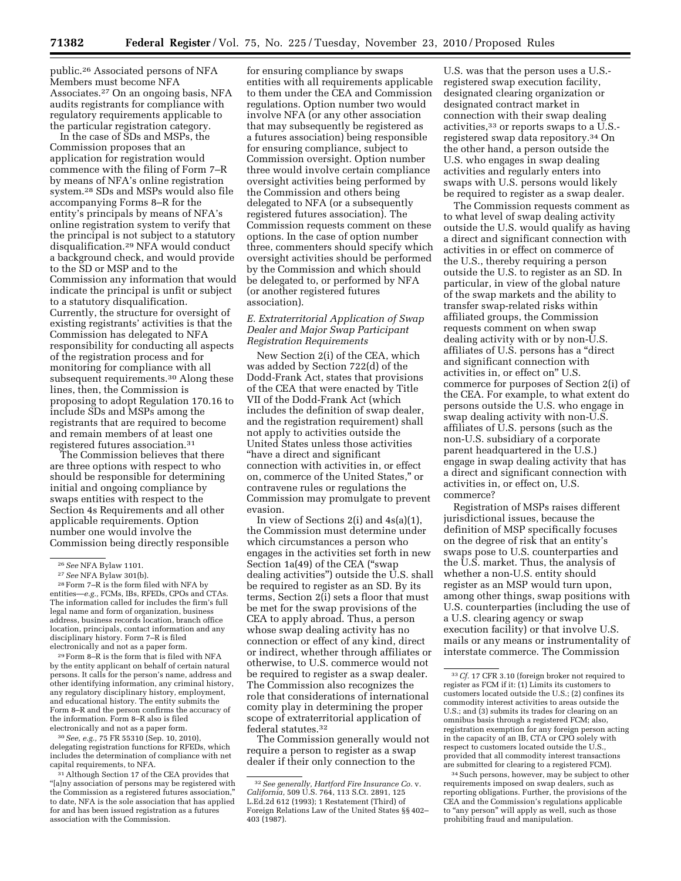public.26 Associated persons of NFA Members must become NFA Associates.27 On an ongoing basis, NFA audits registrants for compliance with regulatory requirements applicable to the particular registration category.

In the case of SDs and MSPs, the Commission proposes that an application for registration would commence with the filing of Form 7–R by means of NFA's online registration system.28 SDs and MSPs would also file accompanying Forms 8–R for the entity's principals by means of NFA's online registration system to verify that the principal is not subject to a statutory disqualification.29 NFA would conduct a background check, and would provide to the SD or MSP and to the Commission any information that would indicate the principal is unfit or subject to a statutory disqualification. Currently, the structure for oversight of existing registrants' activities is that the Commission has delegated to NFA responsibility for conducting all aspects of the registration process and for monitoring for compliance with all subsequent requirements.<sup>30</sup> Along these lines, then, the Commission is proposing to adopt Regulation 170.16 to include SDs and MSPs among the registrants that are required to become and remain members of at least one registered futures association.31

The Commission believes that there are three options with respect to who should be responsible for determining initial and ongoing compliance by swaps entities with respect to the Section 4s Requirements and all other applicable requirements. Option number one would involve the Commission being directly responsible

29Form 8–R is the form that is filed with NFA by the entity applicant on behalf of certain natural persons. It calls for the person's name, address and other identifying information, any criminal history, any regulatory disciplinary history, employment, and educational history. The entity submits the Form 8–R and the person confirms the accuracy of the information. Form 8–R also is filed electronically and not as a paper form.

30*See, e.g.,* 75 FR 55310 (Sep. 10, 2010), delegating registration functions for RFEDs, which includes the determination of compliance with net capital requirements, to NFA.

for ensuring compliance by swaps entities with all requirements applicable to them under the CEA and Commission regulations. Option number two would involve NFA (or any other association that may subsequently be registered as a futures association) being responsible for ensuring compliance, subject to Commission oversight. Option number three would involve certain compliance oversight activities being performed by the Commission and others being delegated to NFA (or a subsequently registered futures association). The Commission requests comment on these options. In the case of option number three, commenters should specify which oversight activities should be performed by the Commission and which should be delegated to, or performed by NFA (or another registered futures association).

# *E. Extraterritorial Application of Swap Dealer and Major Swap Participant Registration Requirements*

New Section 2(i) of the CEA, which was added by Section 722(d) of the Dodd-Frank Act, states that provisions of the CEA that were enacted by Title VII of the Dodd-Frank Act (which includes the definition of swap dealer, and the registration requirement) shall not apply to activities outside the United States unless those activities ''have a direct and significant connection with activities in, or effect on, commerce of the United States,'' or contravene rules or regulations the Commission may promulgate to prevent evasion.

In view of Sections 2(i) and 4s(a)(1), the Commission must determine under which circumstances a person who engages in the activities set forth in new Section 1a(49) of the CEA ("swap" dealing activities'') outside the U.S. shall be required to register as an SD. By its terms, Section 2(i) sets a floor that must be met for the swap provisions of the CEA to apply abroad. Thus, a person whose swap dealing activity has no connection or effect of any kind, direct or indirect, whether through affiliates or otherwise, to U.S. commerce would not be required to register as a swap dealer. The Commission also recognizes the role that considerations of international comity play in determining the proper scope of extraterritorial application of federal statutes.32

The Commission generally would not require a person to register as a swap dealer if their only connection to the

U.S. was that the person uses a U.S. registered swap execution facility, designated clearing organization or designated contract market in connection with their swap dealing activities,33 or reports swaps to a U.S. registered swap data repository.34 On the other hand, a person outside the U.S. who engages in swap dealing activities and regularly enters into swaps with U.S. persons would likely be required to register as a swap dealer.

The Commission requests comment as to what level of swap dealing activity outside the U.S. would qualify as having a direct and significant connection with activities in or effect on commerce of the U.S., thereby requiring a person outside the U.S. to register as an SD. In particular, in view of the global nature of the swap markets and the ability to transfer swap-related risks within affiliated groups, the Commission requests comment on when swap dealing activity with or by non-U.S. affiliates of U.S. persons has a ''direct and significant connection with activities in, or effect on'' U.S. commerce for purposes of Section 2(i) of the CEA. For example, to what extent do persons outside the U.S. who engage in swap dealing activity with non-U.S. affiliates of U.S. persons (such as the non-U.S. subsidiary of a corporate parent headquartered in the U.S.) engage in swap dealing activity that has a direct and significant connection with activities in, or effect on, U.S. commerce?

Registration of MSPs raises different jurisdictional issues, because the definition of MSP specifically focuses on the degree of risk that an entity's swaps pose to U.S. counterparties and the U.S. market. Thus, the analysis of whether a non-U.S. entity should register as an MSP would turn upon, among other things, swap positions with U.S. counterparties (including the use of a U.S. clearing agency or swap execution facility) or that involve U.S. mails or any means or instrumentality of interstate commerce. The Commission

<sup>26</sup>*See* NFA Bylaw 1101.

<sup>27</sup>*See* NFA Bylaw 301(b).

<sup>28</sup>Form 7–R is the form filed with NFA by entities—*e.g.,* FCMs, IBs, RFEDs, CPOs and CTAs. The information called for includes the firm's full legal name and form of organization, business address, business records location, branch office location, principals, contact information and any disciplinary history. Form 7–R is filed electronically and not as a paper form.

<sup>31</sup>Although Section 17 of the CEA provides that "[a]ny association of persons may be registered with the Commission as a registered futures association, to date, NFA is the sole association that has applied for and has been issued registration as a futures association with the Commission.

<sup>32</sup>*See generally, Hartford Fire Insurance Co.* v. *California,* 509 U.S. 764, 113 S.Ct. 2891, 125 L.Ed.2d 612 (1993); 1 Restatement (Third) of Foreign Relations Law of the United States §§ 402– 403 (1987).

<sup>33</sup>*Cf.* 17 CFR 3.10 (foreign broker not required to register as FCM if it: (1) Limits its customers to customers located outside the U.S.; (2) confines its commodity interest activities to areas outside the U.S.; and (3) submits its trades for clearing on an omnibus basis through a registered FCM; also, registration exemption for any foreign person acting in the capacity of an IB, CTA or CPO solely with respect to customers located outside the U.S., provided that all commodity interest transactions are submitted for clearing to a registered FCM).

<sup>34</sup>Such persons, however, may be subject to other requirements imposed on swap dealers, such as reporting obligations. Further, the provisions of the CEA and the Commission's regulations applicable to "any person" will apply as well, such as those prohibiting fraud and manipulation.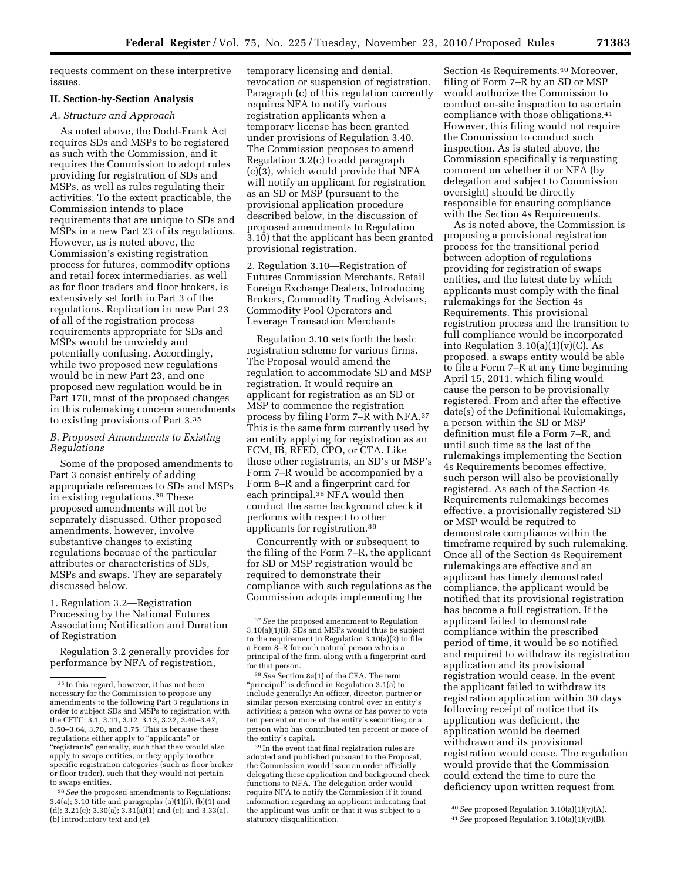requests comment on these interpretive issues.

# **II. Section-by-Section Analysis**

# *A. Structure and Approach*

As noted above, the Dodd-Frank Act requires SDs and MSPs to be registered as such with the Commission, and it requires the Commission to adopt rules providing for registration of SDs and MSPs, as well as rules regulating their activities. To the extent practicable, the Commission intends to place requirements that are unique to SDs and MSPs in a new Part 23 of its regulations. However, as is noted above, the Commission's existing registration process for futures, commodity options and retail forex intermediaries, as well as for floor traders and floor brokers, is extensively set forth in Part 3 of the regulations. Replication in new Part 23 of all of the registration process requirements appropriate for SDs and MSPs would be unwieldy and potentially confusing. Accordingly, while two proposed new regulations would be in new Part 23, and one proposed new regulation would be in Part 170, most of the proposed changes in this rulemaking concern amendments to existing provisions of Part 3.35

### *B. Proposed Amendments to Existing Regulations*

Some of the proposed amendments to Part 3 consist entirely of adding appropriate references to SDs and MSPs in existing regulations.36 These proposed amendments will not be separately discussed. Other proposed amendments, however, involve substantive changes to existing regulations because of the particular attributes or characteristics of SDs, MSPs and swaps. They are separately discussed below.

1. Regulation 3.2—Registration Processing by the National Futures Association; Notification and Duration of Registration

Regulation 3.2 generally provides for performance by NFA of registration,

temporary licensing and denial, revocation or suspension of registration. Paragraph (c) of this regulation currently requires NFA to notify various registration applicants when a temporary license has been granted under provisions of Regulation 3.40. The Commission proposes to amend Regulation 3.2(c) to add paragraph (c)(3), which would provide that NFA will notify an applicant for registration as an SD or MSP (pursuant to the provisional application procedure described below, in the discussion of proposed amendments to Regulation 3.10) that the applicant has been granted provisional registration.

2. Regulation 3.10—Registration of Futures Commission Merchants, Retail Foreign Exchange Dealers, Introducing Brokers, Commodity Trading Advisors, Commodity Pool Operators and Leverage Transaction Merchants

Regulation 3.10 sets forth the basic registration scheme for various firms. The Proposal would amend the regulation to accommodate SD and MSP registration. It would require an applicant for registration as an SD or MSP to commence the registration process by filing Form 7–R with NFA.37 This is the same form currently used by an entity applying for registration as an FCM, IB, RFED, CPO, or CTA. Like those other registrants, an SD's or MSP's Form 7–R would be accompanied by a Form 8–R and a fingerprint card for each principal.38 NFA would then conduct the same background check it performs with respect to other applicants for registration.39

Concurrently with or subsequent to the filing of the Form 7–R, the applicant for SD or MSP registration would be required to demonstrate their compliance with such regulations as the Commission adopts implementing the

39 In the event that final registration rules are adopted and published pursuant to the Proposal, the Commission would issue an order officially delegating these application and background check functions to NFA. The delegation order would require NFA to notify the Commission if it found information regarding an applicant indicating that the applicant was unfit or that it was subject to a statutory disqualification.

Section 4s Requirements.<sup>40</sup> Moreover, filing of Form 7–R by an SD or MSP would authorize the Commission to conduct on-site inspection to ascertain compliance with those obligations.41 However, this filing would not require the Commission to conduct such inspection. As is stated above, the Commission specifically is requesting comment on whether it or NFA (by delegation and subject to Commission oversight) should be directly responsible for ensuring compliance with the Section 4s Requirements.

As is noted above, the Commission is proposing a provisional registration process for the transitional period between adoption of regulations providing for registration of swaps entities, and the latest date by which applicants must comply with the final rulemakings for the Section 4s Requirements. This provisional registration process and the transition to full compliance would be incorporated into Regulation  $3.10(a)(1)(v)(C)$ . As proposed, a swaps entity would be able to file a Form 7–R at any time beginning April 15, 2011, which filing would cause the person to be provisionally registered. From and after the effective date(s) of the Definitional Rulemakings, a person within the SD or MSP definition must file a Form 7–R, and until such time as the last of the rulemakings implementing the Section 4s Requirements becomes effective, such person will also be provisionally registered. As each of the Section 4s Requirements rulemakings becomes effective, a provisionally registered SD or MSP would be required to demonstrate compliance within the timeframe required by such rulemaking. Once all of the Section 4s Requirement rulemakings are effective and an applicant has timely demonstrated compliance, the applicant would be notified that its provisional registration has become a full registration. If the applicant failed to demonstrate compliance within the prescribed period of time, it would be so notified and required to withdraw its registration application and its provisional registration would cease. In the event the applicant failed to withdraw its registration application within 30 days following receipt of notice that its application was deficient, the application would be deemed withdrawn and its provisional registration would cease. The regulation would provide that the Commission could extend the time to cure the deficiency upon written request from

<sup>35</sup> In this regard, however, it has not been necessary for the Commission to propose any amendments to the following Part 3 regulations in order to subject SDs and MSPs to registration with the CFTC: 3.1, 3.11, 3.12, 3.13, 3.22, 3.40–3.47, 3.50–3.64, 3.70, and 3.75. This is because these regulations either apply to "applicants" or ''registrants'' generally, such that they would also apply to swaps entities, or they apply to other specific registration categories (such as floor broker or floor trader), such that they would not pertain to swaps entities.

<sup>36</sup>*See* the proposed amendments to Regulations: 3.4(a); 3.10 title and paragraphs (a)(1)(i), (b)(1) and (d); 3.21(c); 3.30(a);  $3.31(a)(1)$  and (c); and  $3.33(a)$ , (b) introductory text and (e).

<sup>37</sup>*See* the proposed amendment to Regulation 3.10(a)(1)(i). SDs and MSPs would thus be subject to the requirement in Regulation 3.10(a)(2) to file a Form 8–R for each natural person who is a principal of the firm, along with a fingerprint card for that person.

<sup>38</sup>*See* Section 8a(1) of the CEA. The term "principal" is defined in Regulation 3.1(a) to include generally: An officer, director, partner or similar person exercising control over an entity's activities; a person who owns or has power to vote ten percent or more of the entity's securities; or a person who has contributed ten percent or more of the entity's capital.

<sup>40</sup>*See* proposed Regulation 3.10(a)(1)(v)(A).

<sup>41</sup>*See* proposed Regulation 3.10(a)(1)(v)(B).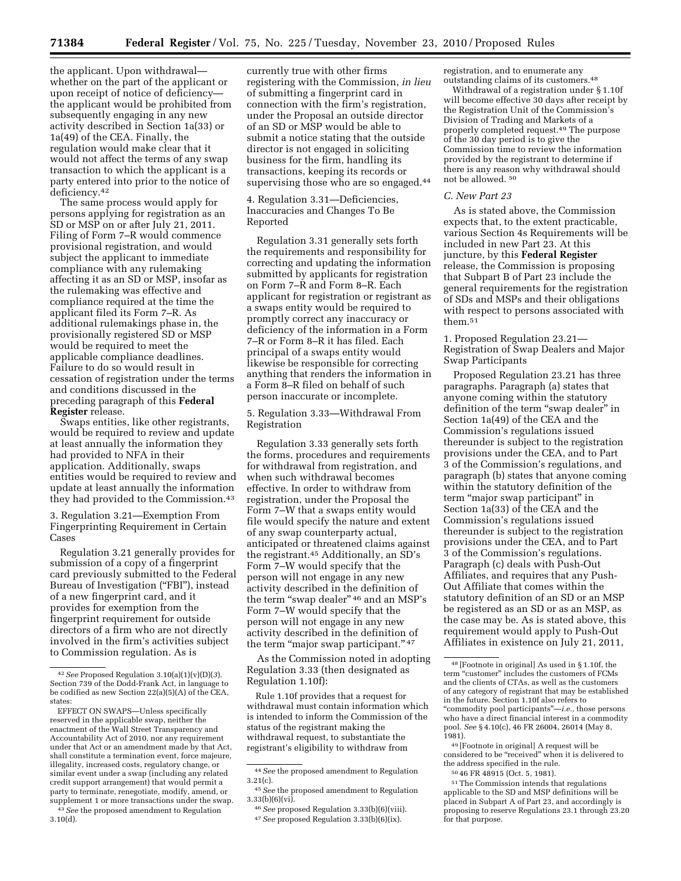the applicant. Upon withdrawal whether on the part of the applicant or upon receipt of notice of deficiency the applicant would be prohibited from subsequently engaging in any new activity described in Section 1a(33) or 1a(49) of the CEA. Finally, the regulation would make clear that it would not affect the terms of any swap transaction to which the applicant is a party entered into prior to the notice of deficiency.42

The same process would apply for persons applying for registration as an SD or MSP on or after July 21, 2011. Filing of Form 7–R would commence provisional registration, and would subject the applicant to immediate compliance with any rulemaking affecting it as an SD or MSP, insofar as the rulemaking was effective and compliance required at the time the applicant filed its Form 7–R. As additional rulemakings phase in, the provisionally registered SD or MSP would be required to meet the applicable compliance deadlines. Failure to do so would result in cessation of registration under the terms and conditions discussed in the preceding paragraph of this **Federal Register** release.

Swaps entities, like other registrants, would be required to review and update at least annually the information they had provided to NFA in their application. Additionally, swaps entities would be required to review and update at least annually the information they had provided to the Commission.43

3. Regulation 3.21—Exemption From Fingerprinting Requirement in Certain Cases

Regulation 3.21 generally provides for submission of a copy of a fingerprint card previously submitted to the Federal Bureau of Investigation ("FBI"), instead of a new fingerprint card, and it provides for exemption from the fingerprint requirement for outside directors of a firm who are not directly involved in the firm's activities subject to Commission regulation. As is

currently true with other firms registering with the Commission, *in lieu*  of submitting a fingerprint card in connection with the firm's registration, under the Proposal an outside director of an SD or MSP would be able to submit a notice stating that the outside director is not engaged in soliciting business for the firm, handling its transactions, keeping its records or supervising those who are so engaged.44

4. Regulation 3.31—Deficiencies, Inaccuracies and Changes To Be Reported

Regulation 3.31 generally sets forth the requirements and responsibility for correcting and updating the information submitted by applicants for registration on Form 7–R and Form 8–R. Each applicant for registration or registrant as a swaps entity would be required to promptly correct any inaccuracy or deficiency of the information in a Form 7–R or Form 8–R it has filed. Each principal of a swaps entity would likewise be responsible for correcting anything that renders the information in a Form 8–R filed on behalf of such person inaccurate or incomplete.

5. Regulation 3.33—Withdrawal From Registration

Regulation 3.33 generally sets forth the forms, procedures and requirements for withdrawal from registration, and when such withdrawal becomes effective. In order to withdraw from registration, under the Proposal the Form 7–W that a swaps entity would file would specify the nature and extent of any swap counterparty actual, anticipated or threatened claims against the registrant.45 Additionally, an SD's Form 7–W would specify that the person will not engage in any new activity described in the definition of the term "swap dealer" <sup>46</sup> and an MSP's Form 7–W would specify that the person will not engage in any new activity described in the definition of the term "major swap participant." 47

As the Commission noted in adopting Regulation 3.33 (then designated as Regulation 1.10f):

Rule 1.10f provides that a request for withdrawal must contain information which is intended to inform the Commission of the status of the registrant making the withdrawal request, to substantiate the registrant's eligibility to withdraw from

registration, and to enumerate any outstanding claims of its customers.48

Withdrawal of a registration under § 1.10f will become effective 30 days after receipt by the Registration Unit of the Commission's Division of Trading and Markets of a properly completed request.49 The purpose of the 30 day period is to give the Commission time to review the information provided by the registrant to determine if there is any reason why withdrawal should not be allowed. 50

## *C. New Part 23*

As is stated above, the Commission expects that, to the extent practicable, various Section 4s Requirements will be included in new Part 23. At this juncture, by this **Federal Register**  release, the Commission is proposing that Subpart B of Part 23 include the general requirements for the registration of SDs and MSPs and their obligations with respect to persons associated with them.51

1. Proposed Regulation 23.21— Registration of Swap Dealers and Major Swap Participants

Proposed Regulation 23.21 has three paragraphs. Paragraph (a) states that anyone coming within the statutory definition of the term "swap dealer" in Section 1a(49) of the CEA and the Commission's regulations issued thereunder is subject to the registration provisions under the CEA, and to Part 3 of the Commission's regulations, and paragraph (b) states that anyone coming within the statutory definition of the term ''major swap participant'' in Section 1a(33) of the CEA and the Commission's regulations issued thereunder is subject to the registration provisions under the CEA, and to Part 3 of the Commission's regulations. Paragraph (c) deals with Push-Out Affiliates, and requires that any Push-Out Affiliate that comes within the statutory definition of an SD or an MSP be registered as an SD or as an MSP, as the case may be. As is stated above, this requirement would apply to Push-Out Affiliates in existence on July 21, 2011,

49 [Footnote in original] A request will be considered to be ''received'' when it is delivered to the address specified in the rule.

<sup>42</sup>*See* Proposed Regulation 3.10(a)(1)(v)(D)(*3*). Section 739 of the Dodd-Frank Act, in language to be codified as new Section 22(a)(5)(A) of the CEA, states:

EFFECT ON SWAPS—Unless specifically reserved in the applicable swap, neither the enactment of the Wall Street Transparency and Accountability Act of 2010, nor any requirement under that Act or an amendment made by that Act, shall constitute a termination event, force majeure, illegality, increased costs, regulatory change, or similar event under a swap (including any related credit support arrangement) that would permit a party to terminate, renegotiate, modify, amend, or supplement 1 or more transactions under the swap.

<sup>43</sup>*See* the proposed amendment to Regulation 3.10(d).

<sup>44</sup>*See* the proposed amendment to Regulation 3.21(c).

<sup>45</sup>*See* the proposed amendment to Regulation  $3.33(b)(6)(vi)$ 

<sup>46</sup>*See* proposed Regulation 3.33(b)(6)(viii). 47*See* proposed Regulation 3.33(b)(6)(ix).

<sup>48</sup> [Footnote in original] As used in § 1.10f, the term "customer" includes the customers of FCMs and the clients of CTAs, as well as the customers of any category of registrant that may be established in the future. Section 1.10f also refers to ''commodity pool participants''—*i.e.,* those persons who have a direct financial interest in a commodity pool. *See* § 4.10(c), 46 FR 26004, 26014 (May 8, 1981).

<sup>50</sup> 46 FR 48915 (Oct. 5, 1981).

<sup>51</sup>The Commission intends that regulations applicable to the SD and MSP definitions will be placed in Subpart A of Part 23, and accordingly is proposing to reserve Regulations 23.1 through 23.20 for that purpose.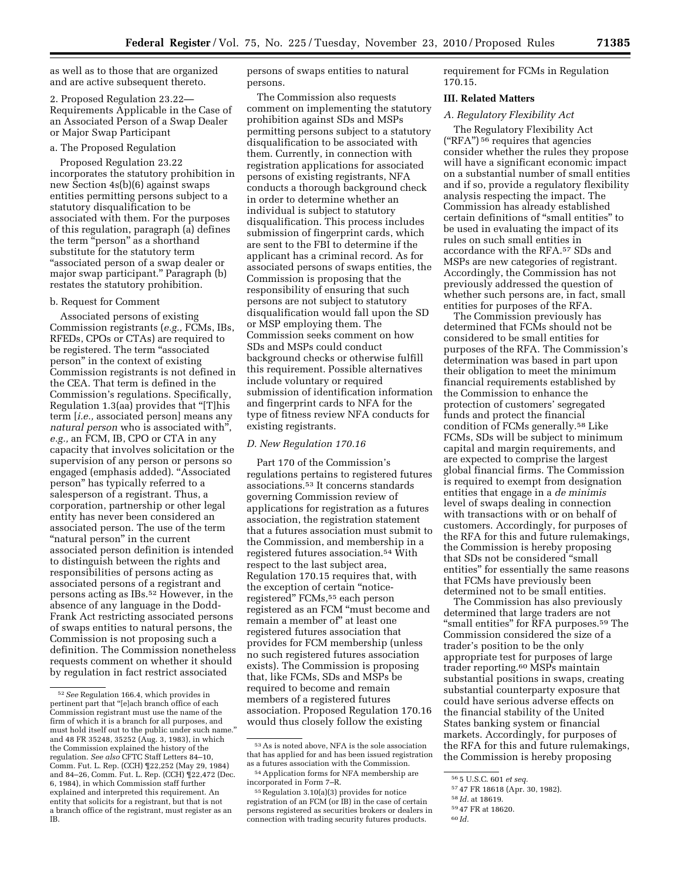as well as to those that are organized and are active subsequent thereto.

2. Proposed Regulation 23.22— Requirements Applicable in the Case of an Associated Person of a Swap Dealer or Major Swap Participant

#### a. The Proposed Regulation

Proposed Regulation 23.22 incorporates the statutory prohibition in new Section 4s(b)(6) against swaps entities permitting persons subject to a statutory disqualification to be associated with them. For the purposes of this regulation, paragraph (a) defines the term "person" as a shorthand substitute for the statutory term ''associated person of a swap dealer or major swap participant.'' Paragraph (b) restates the statutory prohibition.

## b. Request for Comment

Associated persons of existing Commission registrants (*e.g.,* FCMs, IBs, RFEDs, CPOs or CTAs) are required to be registered. The term "associated person'' in the context of existing Commission registrants is not defined in the CEA. That term is defined in the Commission's regulations. Specifically, Regulation 1.3(aa) provides that ''[T]his term [*i.e.,* associated person] means any *natural person* who is associated with'', *e.g.,* an FCM, IB, CPO or CTA in any capacity that involves solicitation or the supervision of any person or persons so engaged (emphasis added). ''Associated person'' has typically referred to a salesperson of a registrant. Thus, a corporation, partnership or other legal entity has never been considered an associated person. The use of the term "natural person" in the current associated person definition is intended to distinguish between the rights and responsibilities of persons acting as associated persons of a registrant and persons acting as IBs.52 However, in the absence of any language in the Dodd-Frank Act restricting associated persons of swaps entities to natural persons, the Commission is not proposing such a definition. The Commission nonetheless requests comment on whether it should by regulation in fact restrict associated

persons of swaps entities to natural persons.

The Commission also requests comment on implementing the statutory prohibition against SDs and MSPs permitting persons subject to a statutory disqualification to be associated with them. Currently, in connection with registration applications for associated persons of existing registrants, NFA conducts a thorough background check in order to determine whether an individual is subject to statutory disqualification. This process includes submission of fingerprint cards, which are sent to the FBI to determine if the applicant has a criminal record. As for associated persons of swaps entities, the Commission is proposing that the responsibility of ensuring that such persons are not subject to statutory disqualification would fall upon the SD or MSP employing them. The Commission seeks comment on how SDs and MSPs could conduct background checks or otherwise fulfill this requirement. Possible alternatives include voluntary or required submission of identification information and fingerprint cards to NFA for the type of fitness review NFA conducts for existing registrants.

#### *D. New Regulation 170.16*

Part 170 of the Commission's regulations pertains to registered futures associations.53 It concerns standards governing Commission review of applications for registration as a futures association, the registration statement that a futures association must submit to the Commission, and membership in a registered futures association.54 With respect to the last subject area, Regulation 170.15 requires that, with the exception of certain ''noticeregistered'' FCMs,55 each person registered as an FCM ''must become and remain a member of'' at least one registered futures association that provides for FCM membership (unless no such registered futures association exists). The Commission is proposing that, like FCMs, SDs and MSPs be required to become and remain members of a registered futures association. Proposed Regulation 170.16 would thus closely follow the existing

requirement for FCMs in Regulation 170.15.

#### **III. Related Matters**

# *A. Regulatory Flexibility Act*

The Regulatory Flexibility Act (''RFA'') 56 requires that agencies consider whether the rules they propose will have a significant economic impact on a substantial number of small entities and if so, provide a regulatory flexibility analysis respecting the impact. The Commission has already established certain definitions of ''small entities'' to be used in evaluating the impact of its rules on such small entities in accordance with the RFA.57 SDs and MSPs are new categories of registrant. Accordingly, the Commission has not previously addressed the question of whether such persons are, in fact, small entities for purposes of the RFA.

The Commission previously has determined that FCMs should not be considered to be small entities for purposes of the RFA. The Commission's determination was based in part upon their obligation to meet the minimum financial requirements established by the Commission to enhance the protection of customers' segregated funds and protect the financial condition of FCMs generally.58 Like FCMs, SDs will be subject to minimum capital and margin requirements, and are expected to comprise the largest global financial firms. The Commission is required to exempt from designation entities that engage in a *de minimis*  level of swaps dealing in connection with transactions with or on behalf of customers. Accordingly, for purposes of the RFA for this and future rulemakings, the Commission is hereby proposing that SDs not be considered ''small entities'' for essentially the same reasons that FCMs have previously been determined not to be small entities.

The Commission has also previously determined that large traders are not ''small entities'' for RFA purposes.59 The Commission considered the size of a trader's position to be the only appropriate test for purposes of large trader reporting.60 MSPs maintain substantial positions in swaps, creating substantial counterparty exposure that could have serious adverse effects on the financial stability of the United States banking system or financial markets. Accordingly, for purposes of the RFA for this and future rulemakings, the Commission is hereby proposing

<sup>52</sup>*See* Regulation 166.4, which provides in pertinent part that ''[e]ach branch office of each Commission registrant must use the name of the firm of which it is a branch for all purposes, and must hold itself out to the public under such name.'' and 48 FR 35248, 35252 (Aug. 3, 1983), in which the Commission explained the history of the regulation. *See also* CFTC Staff Letters 84–10, Comm. Fut. L. Rep. (CCH) ¶22,252 (May 29, 1984) and 84–26, Comm. Fut. L. Rep. (CCH) ¶22,472 (Dec. 6, 1984), in which Commission staff further explained and interpreted this requirement. An entity that solicits for a registrant, but that is not a branch office of the registrant, must register as an IB.

<sup>53</sup>As is noted above, NFA is the sole association that has applied for and has been issued registration as a futures association with the Commission.

<sup>54</sup>Application forms for NFA membership are incorporated in Form 7–R.

<sup>55</sup>Regulation 3.10(a)(3) provides for notice registration of an FCM (or IB) in the case of certain persons registered as securities brokers or dealers in connection with trading security futures products.

<sup>56</sup> 5 U.S.C. 601 *et seq.* 

<sup>57</sup> 47 FR 18618 (Apr. 30, 1982).

<sup>58</sup> *Id.* at 18619.

<sup>59</sup> 47 FR at 18620.

<sup>60</sup> *Id.*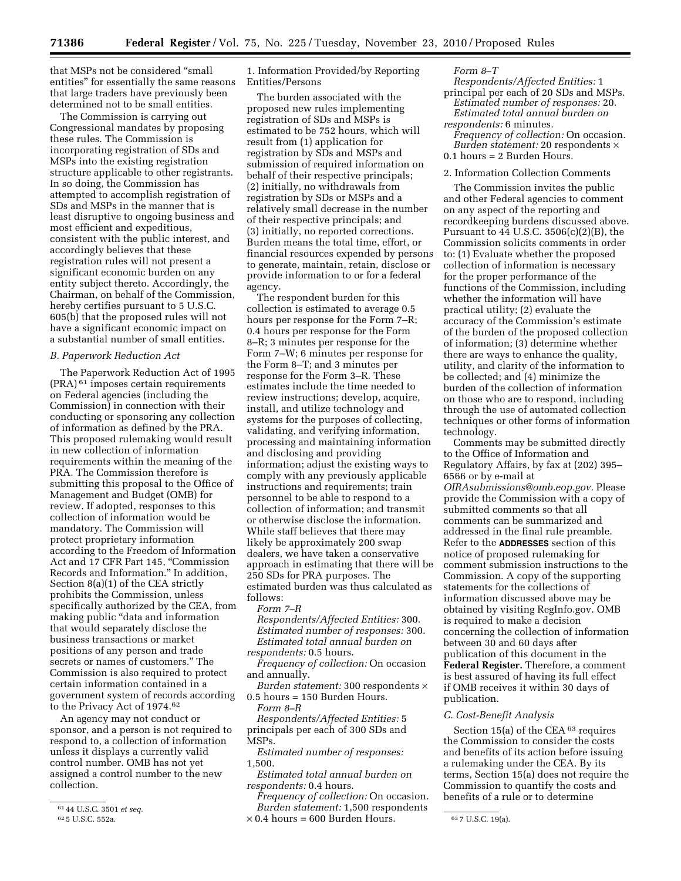that MSPs not be considered ''small entities'' for essentially the same reasons that large traders have previously been determined not to be small entities.

The Commission is carrying out Congressional mandates by proposing these rules. The Commission is incorporating registration of SDs and MSPs into the existing registration structure applicable to other registrants. In so doing, the Commission has attempted to accomplish registration of SDs and MSPs in the manner that is least disruptive to ongoing business and most efficient and expeditious, consistent with the public interest, and accordingly believes that these registration rules will not present a significant economic burden on any entity subject thereto. Accordingly, the Chairman, on behalf of the Commission, hereby certifies pursuant to 5 U.S.C. 605(b) that the proposed rules will not have a significant economic impact on a substantial number of small entities.

#### *B. Paperwork Reduction Act*

The Paperwork Reduction Act of 1995 (PRA) 61 imposes certain requirements on Federal agencies (including the Commission) in connection with their conducting or sponsoring any collection of information as defined by the PRA. This proposed rulemaking would result in new collection of information requirements within the meaning of the PRA. The Commission therefore is submitting this proposal to the Office of Management and Budget (OMB) for review. If adopted, responses to this collection of information would be mandatory. The Commission will protect proprietary information according to the Freedom of Information Act and 17 CFR Part 145, "Commission Records and Information.'' In addition, Section 8(a)(1) of the CEA strictly prohibits the Commission, unless specifically authorized by the CEA, from making public ''data and information that would separately disclose the business transactions or market positions of any person and trade secrets or names of customers.'' The Commission is also required to protect certain information contained in a government system of records according to the Privacy Act of 1974.62

An agency may not conduct or sponsor, and a person is not required to respond to, a collection of information unless it displays a currently valid control number. OMB has not yet assigned a control number to the new collection.

1. Information Provided/by Reporting Entities/Persons

The burden associated with the proposed new rules implementing registration of SDs and MSPs is estimated to be 752 hours, which will result from (1) application for registration by SDs and MSPs and submission of required information on behalf of their respective principals; (2) initially, no withdrawals from registration by SDs or MSPs and a relatively small decrease in the number of their respective principals; and (3) initially, no reported corrections. Burden means the total time, effort, or financial resources expended by persons to generate, maintain, retain, disclose or provide information to or for a federal agency.

The respondent burden for this collection is estimated to average 0.5 hours per response for the Form 7–R; 0.4 hours per response for the Form 8–R; 3 minutes per response for the Form 7–W; 6 minutes per response for the Form 8–T; and 3 minutes per response for the Form 3–R. These estimates include the time needed to review instructions; develop, acquire, install, and utilize technology and systems for the purposes of collecting, validating, and verifying information, processing and maintaining information and disclosing and providing information; adjust the existing ways to comply with any previously applicable instructions and requirements; train personnel to be able to respond to a collection of information; and transmit or otherwise disclose the information. While staff believes that there may likely be approximately 200 swap dealers, we have taken a conservative approach in estimating that there will be 250 SDs for PRA purposes. The estimated burden was thus calculated as follows:

#### *Form 7–R*

*Respondents/Affected Entities:* 300. *Estimated number of responses:* 300. *Estimated total annual burden on respondents:* 0.5 hours.

*Frequency of collection:* On occasion and annually.

*Burden statement:* 300 respondents × 0.5 hours = 150 Burden Hours.

*Form 8–R* 

*Respondents/Affected Entities:* 5 principals per each of 300 SDs and MSPs.

*Estimated number of responses:*  1,500.

*Estimated total annual burden on respondents:* 0.4 hours.

 $625$  U.S.C. 552a.  $\times 0.4$  hours = 600 Burden Hours.  $637$  U.S.C. 19(a). *Frequency of collection:* On occasion. *Burden statement:* 1,500 respondents

#### *Form 8–T*

*Respondents/Affected Entities:* 1 principal per each of 20 SDs and MSPs. *Estimated number of responses:* 20. *Estimated total annual burden on respondents:* 6 minutes. *Frequency of collection:* On occasion. *Burden statement:* 20 respondents × 0.1 hours = 2 Burden Hours.

## 2. Information Collection Comments

The Commission invites the public and other Federal agencies to comment on any aspect of the reporting and recordkeeping burdens discussed above. Pursuant to  $44$  U.S.C. 3506(c)(2)(B), the Commission solicits comments in order to: (1) Evaluate whether the proposed collection of information is necessary for the proper performance of the functions of the Commission, including whether the information will have practical utility; (2) evaluate the accuracy of the Commission's estimate of the burden of the proposed collection of information; (3) determine whether there are ways to enhance the quality, utility, and clarity of the information to be collected; and (4) minimize the burden of the collection of information on those who are to respond, including through the use of automated collection techniques or other forms of information technology.

Comments may be submitted directly to the Office of Information and Regulatory Affairs, by fax at (202) 395– 6566 or by e-mail at *[OIRAsubmissions@omb.eop.gov.](mailto:OIRAsubmissions@omb.eop.gov)* Please provide the Commission with a copy of submitted comments so that all comments can be summarized and addressed in the final rule preamble. Refer to the **ADDRESSES** section of this notice of proposed rulemaking for comment submission instructions to the Commission. A copy of the supporting statements for the collections of information discussed above may be obtained by visiting RegInfo.gov. OMB is required to make a decision concerning the collection of information between 30 and 60 days after publication of this document in the **Federal Register.** Therefore, a comment is best assured of having its full effect if OMB receives it within 30 days of publication.

## *C. Cost-Benefit Analysis*

Section 15(a) of the CEA  $63$  requires the Commission to consider the costs and benefits of its action before issuing a rulemaking under the CEA. By its terms, Section 15(a) does not require the Commission to quantify the costs and benefits of a rule or to determine

<sup>61</sup> 44 U.S.C. 3501 *et seq.*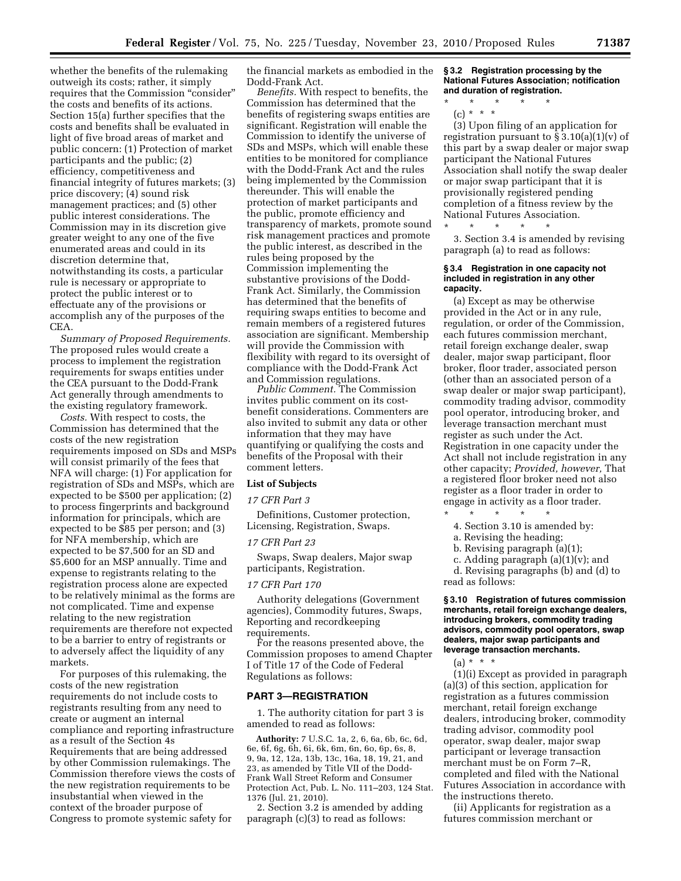whether the benefits of the rulemaking outweigh its costs; rather, it simply requires that the Commission ''consider'' the costs and benefits of its actions. Section 15(a) further specifies that the costs and benefits shall be evaluated in light of five broad areas of market and public concern: (1) Protection of market participants and the public; (2) efficiency, competitiveness and financial integrity of futures markets; (3) price discovery; (4) sound risk management practices; and (5) other public interest considerations. The Commission may in its discretion give greater weight to any one of the five enumerated areas and could in its discretion determine that, notwithstanding its costs, a particular rule is necessary or appropriate to protect the public interest or to effectuate any of the provisions or accomplish any of the purposes of the CEA.

*Summary of Proposed Requirements.*  The proposed rules would create a process to implement the registration requirements for swaps entities under the CEA pursuant to the Dodd-Frank Act generally through amendments to the existing regulatory framework.

*Costs.* With respect to costs, the Commission has determined that the costs of the new registration requirements imposed on SDs and MSPs will consist primarily of the fees that NFA will charge: (1) For application for registration of SDs and MSPs, which are expected to be \$500 per application; (2) to process fingerprints and background information for principals, which are expected to be \$85 per person; and (3) for NFA membership, which are expected to be \$7,500 for an SD and \$5,600 for an MSP annually. Time and expense to registrants relating to the registration process alone are expected to be relatively minimal as the forms are not complicated. Time and expense relating to the new registration requirements are therefore not expected to be a barrier to entry of registrants or to adversely affect the liquidity of any markets.

For purposes of this rulemaking, the costs of the new registration requirements do not include costs to registrants resulting from any need to create or augment an internal compliance and reporting infrastructure as a result of the Section 4s Requirements that are being addressed by other Commission rulemakings. The Commission therefore views the costs of the new registration requirements to be insubstantial when viewed in the context of the broader purpose of Congress to promote systemic safety for

the financial markets as embodied in the Dodd-Frank Act.

*Benefits.* With respect to benefits, the Commission has determined that the benefits of registering swaps entities are significant. Registration will enable the Commission to identify the universe of SDs and MSPs, which will enable these entities to be monitored for compliance with the Dodd-Frank Act and the rules being implemented by the Commission thereunder. This will enable the protection of market participants and the public, promote efficiency and transparency of markets, promote sound risk management practices and promote the public interest, as described in the rules being proposed by the Commission implementing the substantive provisions of the Dodd-Frank Act. Similarly, the Commission has determined that the benefits of requiring swaps entities to become and remain members of a registered futures association are significant. Membership will provide the Commission with flexibility with regard to its oversight of compliance with the Dodd-Frank Act and Commission regulations.

*Public Comment.* The Commission invites public comment on its costbenefit considerations. Commenters are also invited to submit any data or other information that they may have quantifying or qualifying the costs and benefits of the Proposal with their comment letters.

#### **List of Subjects**

*17 CFR Part 3* 

Definitions, Customer protection, Licensing, Registration, Swaps.

#### *17 CFR Part 23*

Swaps, Swap dealers, Major swap participants, Registration.

# *17 CFR Part 170*

Authority delegations (Government agencies), Commodity futures, Swaps, Reporting and recordkeeping requirements.

For the reasons presented above, the Commission proposes to amend Chapter I of Title 17 of the Code of Federal Regulations as follows:

# **PART 3—REGISTRATION**

1. The authority citation for part 3 is amended to read as follows:

**Authority:** 7 U.S.C. 1a, 2, 6, 6a, 6b, 6c, 6d, 6e, 6f, 6g, 6h, 6i, 6k, 6m, 6n, 6o, 6p, 6s, 8, 9, 9a, 12, 12a, 13b, 13c, 16a, 18, 19, 21, and 23, as amended by Title VII of the Dodd-Frank Wall Street Reform and Consumer Protection Act, Pub. L. No. 111–203, 124 Stat. 1376 (Jul. 21, 2010).

2. Section 3.2 is amended by adding paragraph (c)(3) to read as follows:

**§ 3.2 Registration processing by the National Futures Association; notification and duration of registration.** 

\* \* \* \* \* (c) \* \* \*

(3) Upon filing of an application for registration pursuant to  $\S 3.10(a)(1)(v)$  of this part by a swap dealer or major swap participant the National Futures Association shall notify the swap dealer or major swap participant that it is provisionally registered pending completion of a fitness review by the National Futures Association.

\* \* \* \* \*

3. Section 3.4 is amended by revising paragraph (a) to read as follows:

#### **§ 3.4 Registration in one capacity not included in registration in any other capacity.**

(a) Except as may be otherwise provided in the Act or in any rule, regulation, or order of the Commission, each futures commission merchant, retail foreign exchange dealer, swap dealer, major swap participant, floor broker, floor trader, associated person (other than an associated person of a swap dealer or major swap participant), commodity trading advisor, commodity pool operator, introducing broker, and leverage transaction merchant must register as such under the Act. Registration in one capacity under the Act shall not include registration in any other capacity; *Provided, however,* That a registered floor broker need not also register as a floor trader in order to engage in activity as a floor trader. \* \* \* \* \*

- 4. Section 3.10 is amended by:
- a. Revising the heading;
- b. Revising paragraph (a)(1);
- c. Adding paragraph (a)(1)(v); and

d. Revising paragraphs (b) and (d) to read as follows:

#### **§ 3.10 Registration of futures commission merchants, retail foreign exchange dealers, introducing brokers, commodity trading advisors, commodity pool operators, swap dealers, major swap participants and leverage transaction merchants.**

 $(a) * * * *$ 

(1)(i) Except as provided in paragraph (a)(3) of this section, application for registration as a futures commission merchant, retail foreign exchange dealers, introducing broker, commodity trading advisor, commodity pool operator, swap dealer, major swap participant or leverage transaction merchant must be on Form 7–R, completed and filed with the National Futures Association in accordance with the instructions thereto.

(ii) Applicants for registration as a futures commission merchant or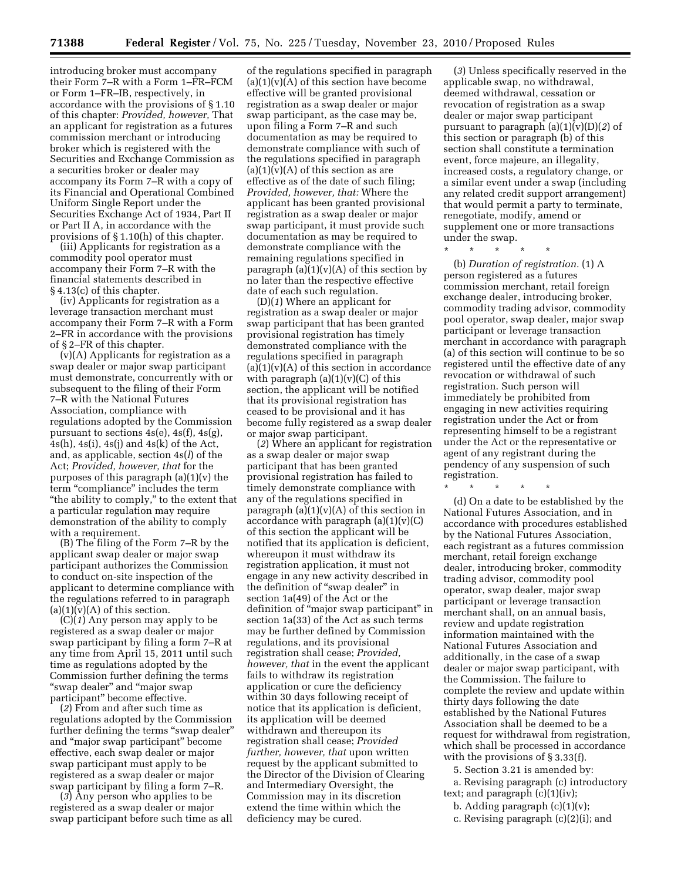introducing broker must accompany their Form 7–R with a Form 1–FR–FCM or Form 1–FR–IB, respectively, in accordance with the provisions of § 1.10 of this chapter: *Provided, however,* That an applicant for registration as a futures commission merchant or introducing broker which is registered with the Securities and Exchange Commission as a securities broker or dealer may accompany its Form 7–R with a copy of its Financial and Operational Combined Uniform Single Report under the Securities Exchange Act of 1934, Part II or Part II A, in accordance with the provisions of § 1.10(h) of this chapter.

(iii) Applicants for registration as a commodity pool operator must accompany their Form 7–R with the financial statements described in § 4.13(c) of this chapter.

(iv) Applicants for registration as a leverage transaction merchant must accompany their Form 7–R with a Form 2–FR in accordance with the provisions of § 2–FR of this chapter.

(v)(A) Applicants for registration as a swap dealer or major swap participant must demonstrate, concurrently with or subsequent to the filing of their Form 7–R with the National Futures Association, compliance with regulations adopted by the Commission pursuant to sections 4s(e), 4s(f), 4s(g),  $4s(h)$ ,  $4s(i)$ ,  $4s(j)$  and  $4s(k)$  of the Act, and, as applicable, section 4s(*l*) of the Act; *Provided, however, that* for the purposes of this paragraph (a)(1)(v) the term "compliance" includes the term ''the ability to comply,'' to the extent that a particular regulation may require demonstration of the ability to comply with a requirement.

(B) The filing of the Form 7–R by the applicant swap dealer or major swap participant authorizes the Commission to conduct on-site inspection of the applicant to determine compliance with the regulations referred to in paragraph  $(a)(1)(v)(A)$  of this section.

(C)(*1*) Any person may apply to be registered as a swap dealer or major swap participant by filing a form 7–R at any time from April 15, 2011 until such time as regulations adopted by the Commission further defining the terms "swap dealer" and "major swap participant'' become effective.

(*2*) From and after such time as regulations adopted by the Commission further defining the terms "swap dealer" and ''major swap participant'' become effective, each swap dealer or major swap participant must apply to be registered as a swap dealer or major swap participant by filing a form 7–R.

(*3*) Any person who applies to be registered as a swap dealer or major swap participant before such time as all

of the regulations specified in paragraph  $(a)(1)(v)(A)$  of this section have become effective will be granted provisional registration as a swap dealer or major swap participant, as the case may be, upon filing a Form 7–R and such documentation as may be required to demonstrate compliance with such of the regulations specified in paragraph  $(a)(1)(v)(A)$  of this section as are effective as of the date of such filing; *Provided, however, that:* Where the applicant has been granted provisional registration as a swap dealer or major swap participant, it must provide such documentation as may be required to demonstrate compliance with the remaining regulations specified in paragraph  $(a)(1)(v)(A)$  of this section by no later than the respective effective date of each such regulation.

(D)(*1*) Where an applicant for registration as a swap dealer or major swap participant that has been granted provisional registration has timely demonstrated compliance with the regulations specified in paragraph  $(a)(1)(v)(A)$  of this section in accordance with paragraph  $(a)(1)(v)(C)$  of this section, the applicant will be notified that its provisional registration has ceased to be provisional and it has become fully registered as a swap dealer or major swap participant.

(*2*) Where an applicant for registration as a swap dealer or major swap participant that has been granted provisional registration has failed to timely demonstrate compliance with any of the regulations specified in paragraph  $(a)(1)(v)(A)$  of this section in accordance with paragraph  $(a)(1)(v)(C)$ of this section the applicant will be notified that its application is deficient, whereupon it must withdraw its registration application, it must not engage in any new activity described in the definition of "swap dealer" in section 1a(49) of the Act or the definition of ''major swap participant'' in section 1a(33) of the Act as such terms may be further defined by Commission regulations, and its provisional registration shall cease; *Provided, however, that* in the event the applicant fails to withdraw its registration application or cure the deficiency within 30 days following receipt of notice that its application is deficient, its application will be deemed withdrawn and thereupon its registration shall cease; *Provided further, however, that* upon written request by the applicant submitted to the Director of the Division of Clearing and Intermediary Oversight, the Commission may in its discretion extend the time within which the deficiency may be cured.

(*3*) Unless specifically reserved in the applicable swap, no withdrawal, deemed withdrawal, cessation or revocation of registration as a swap dealer or major swap participant pursuant to paragraph (a)(1)(v)(D)(*2*) of this section or paragraph (b) of this section shall constitute a termination event, force majeure, an illegality, increased costs, a regulatory change, or a similar event under a swap (including any related credit support arrangement) that would permit a party to terminate, renegotiate, modify, amend or supplement one or more transactions under the swap.

\* \* \* \* \*

(b) *Duration of registration.* (1) A person registered as a futures commission merchant, retail foreign exchange dealer, introducing broker, commodity trading advisor, commodity pool operator, swap dealer, major swap participant or leverage transaction merchant in accordance with paragraph (a) of this section will continue to be so registered until the effective date of any revocation or withdrawal of such registration. Such person will immediately be prohibited from engaging in new activities requiring registration under the Act or from representing himself to be a registrant under the Act or the representative or agent of any registrant during the pendency of any suspension of such registration.

\* \* \* \* \* (d) On a date to be established by the National Futures Association, and in accordance with procedures established by the National Futures Association, each registrant as a futures commission merchant, retail foreign exchange dealer, introducing broker, commodity trading advisor, commodity pool operator, swap dealer, major swap participant or leverage transaction merchant shall, on an annual basis, review and update registration information maintained with the National Futures Association and additionally, in the case of a swap dealer or major swap participant, with the Commission. The failure to complete the review and update within thirty days following the date established by the National Futures Association shall be deemed to be a request for withdrawal from registration, which shall be processed in accordance with the provisions of § 3.33(f).

5. Section 3.21 is amended by:

a. Revising paragraph (c) introductory text; and paragraph (c)(1)(iv);

b. Adding paragraph  $(c)(1)(v)$ ;

c. Revising paragraph (c)(2)(i); and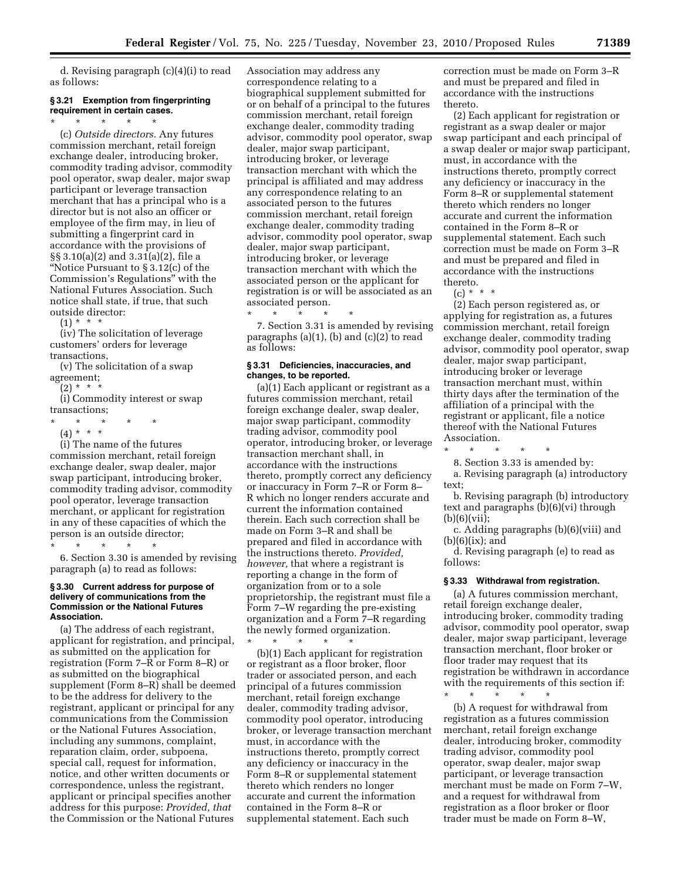d. Revising paragraph (c)(4)(i) to read as follows:

# **§ 3.21 Exemption from fingerprinting requirement in certain cases.**   $\star$   $\star$   $\star$   $\star$

(c) *Outside directors.* Any futures commission merchant, retail foreign exchange dealer, introducing broker, commodity trading advisor, commodity pool operator, swap dealer, major swap participant or leverage transaction merchant that has a principal who is a director but is not also an officer or employee of the firm may, in lieu of submitting a fingerprint card in accordance with the provisions of §§ 3.10(a)(2) and 3.31(a)(2), file a ''Notice Pursuant to § 3.12(c) of the Commission's Regulations'' with the National Futures Association. Such notice shall state, if true, that such outside director:

 $(1) * * * *$ 

(iv) The solicitation of leverage customers' orders for leverage transactions,

(v) The solicitation of a swap agreement;

 $(2) * *$ 

(i) Commodity interest or swap transactions;

\* \* \* \* \*

(4) \* \* \*

(i) The name of the futures commission merchant, retail foreign exchange dealer, swap dealer, major swap participant, introducing broker, commodity trading advisor, commodity pool operator, leverage transaction merchant, or applicant for registration in any of these capacities of which the person is an outside director;

\* \* \* \* \*

6. Section 3.30 is amended by revising paragraph (a) to read as follows:

### **§ 3.30 Current address for purpose of delivery of communications from the Commission or the National Futures Association.**

(a) The address of each registrant, applicant for registration, and principal, as submitted on the application for registration (Form 7–R or Form 8–R) or as submitted on the biographical supplement (Form 8–R) shall be deemed to be the address for delivery to the registrant, applicant or principal for any communications from the Commission or the National Futures Association, including any summons, complaint, reparation claim, order, subpoena, special call, request for information, notice, and other written documents or correspondence, unless the registrant, applicant or principal specifies another address for this purpose: *Provided, that*  the Commission or the National Futures

Association may address any correspondence relating to a biographical supplement submitted for or on behalf of a principal to the futures commission merchant, retail foreign exchange dealer, commodity trading advisor, commodity pool operator, swap dealer, major swap participant, introducing broker, or leverage transaction merchant with which the principal is affiliated and may address any correspondence relating to an associated person to the futures commission merchant, retail foreign exchange dealer, commodity trading advisor, commodity pool operator, swap dealer, major swap participant, introducing broker, or leverage transaction merchant with which the associated person or the applicant for registration is or will be associated as an associated person.

\* \* \* \* \* 7. Section 3.31 is amended by revising paragraphs (a)(1), (b) and (c)(2) to read as follows:

### **§ 3.31 Deficiencies, inaccuracies, and changes, to be reported.**

(a)(1) Each applicant or registrant as a futures commission merchant, retail foreign exchange dealer, swap dealer, major swap participant, commodity trading advisor, commodity pool operator, introducing broker, or leverage transaction merchant shall, in accordance with the instructions thereto, promptly correct any deficiency or inaccuracy in Form 7–R or Form 8– R which no longer renders accurate and current the information contained therein. Each such correction shall be made on Form 3–R and shall be prepared and filed in accordance with the instructions thereto. *Provided, however,* that where a registrant is reporting a change in the form of organization from or to a sole proprietorship, the registrant must file a Form 7–W regarding the pre-existing organization and a Form 7–R regarding the newly formed organization. \* \* \* \* \*

(b)(1) Each applicant for registration or registrant as a floor broker, floor trader or associated person, and each principal of a futures commission merchant, retail foreign exchange dealer, commodity trading advisor, commodity pool operator, introducing broker, or leverage transaction merchant must, in accordance with the instructions thereto, promptly correct any deficiency or inaccuracy in the Form 8–R or supplemental statement thereto which renders no longer accurate and current the information contained in the Form 8–R or supplemental statement. Each such

correction must be made on Form 3–R and must be prepared and filed in accordance with the instructions thereto.

(2) Each applicant for registration or registrant as a swap dealer or major swap participant and each principal of a swap dealer or major swap participant, must, in accordance with the instructions thereto, promptly correct any deficiency or inaccuracy in the Form 8–R or supplemental statement thereto which renders no longer accurate and current the information contained in the Form 8–R or supplemental statement. Each such correction must be made on Form 3–R and must be prepared and filed in accordance with the instructions thereto.

 $(c) * * * *$ 

(2) Each person registered as, or applying for registration as, a futures commission merchant, retail foreign exchange dealer, commodity trading advisor, commodity pool operator, swap dealer, major swap participant, introducing broker or leverage transaction merchant must, within thirty days after the termination of the affiliation of a principal with the registrant or applicant, file a notice thereof with the National Futures Association.

\* \* \* \* \*

8. Section 3.33 is amended by: a. Revising paragraph (a) introductory text;

b. Revising paragraph (b) introductory text and paragraphs (b)(6)(vi) through (b)(6)(vii);

c. Adding paragraphs (b)(6)(viii) and  $(b)(6)(ix);$  and

d. Revising paragraph (e) to read as follows:

# **§ 3.33 Withdrawal from registration.**

(a) A futures commission merchant, retail foreign exchange dealer, introducing broker, commodity trading advisor, commodity pool operator, swap dealer, major swap participant, leverage transaction merchant, floor broker or floor trader may request that its registration be withdrawn in accordance with the requirements of this section if:

\* \* \* \* \* (b) A request for withdrawal from registration as a futures commission merchant, retail foreign exchange dealer, introducing broker, commodity trading advisor, commodity pool operator, swap dealer, major swap participant, or leverage transaction merchant must be made on Form 7–W, and a request for withdrawal from registration as a floor broker or floor trader must be made on Form 8–W,